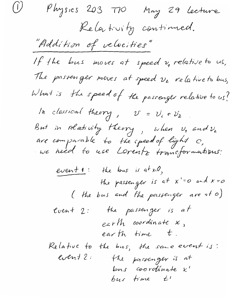Physics 203 TIO May 29 Lecture Relativity continued. "Addition of velocities" If the bus moves at speed  $v$ , relative to us, The passenger moves at speed  $\nu_z$  relative to bus, What is the speed of the passenger relative to us? In classical theory,  $U = U_1 + U_2$ . But in relativity theory, when  $v_1$  and  $v_2$ <br>are comparable to the speed of light  $c$ ,<br>we heed to use Lorentz transformations:  $event 1:$  the bus is at  $x=0$ , the passenger is at  $x'=o$  and  $x=o$ ( the bus and the passenger are at 0) cuent 2: the passenger is at  $exrth$  coordinate  $x$ , earth time t. the bus, the same event is: Relative to event 2. The possenger is at bus coordinate x'  $bus$  time  $t'$ 

 $\left(\dot{U}\right)$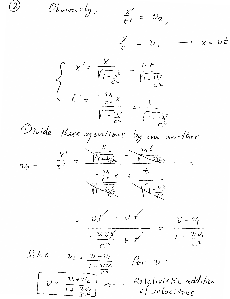$\overline{2}$ Obviously,  $\frac{\chi'}{t\ell} = v_2$  $\frac{\chi}{\tau}$  =  $v$ ,  $\rightarrow$   $x = vt$  $\int x' = \frac{x}{\sqrt{1-\frac{v_{i}^{2}}{c^{2}}}} - \frac{v_{i}t}{\sqrt{1-\frac{v_{i}^{2}}{c^{2}}}}$ <br>  $\frac{1}{\sqrt{1-\frac{v_{i}^{2}}{c^{2}}}} + \frac{1}{\sqrt{1-\frac{v_{i}^{2}}{c^{2}}}}$ these equations<br>  $\frac{X}{t'} = \frac{V}{\sqrt{2\pi}} \frac{V_t}{\sqrt{2\pi}}$ <br>  $-\frac{V_t}{\sqrt{2\pi}} \frac{V_t}{\sqrt{2\pi}}$ Divide these equations by one another:  $= v t' - v_1 t'$  $-\frac{v_1v_1t}{c^2}+t$  $1-\frac{\nu\nu_{1}}{c^{2}}$  $S_0$ lu e  $v_{2} = v - v_{1}$ for  $\nu$ :  $1-\frac{\nu\nu_1}{c^2}$  $U = \frac{\nu_1 + \nu_2}{1 + \frac{\nu_1 \nu_2}{1 + \nu_1 \nu_2}}$ Relativistic addition of velocities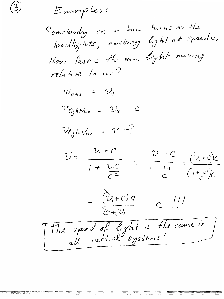Examples:

 $\binom{2}{ }$ 

Somebody on a bus turns on the<br>headlights, emitting light at speeds. How fast is the same light moving

 $v_{bus}$  =  $v_1$ 

 $V$ light/bus =  $V_2 = C$ 

 $\mathcal{V}_{\text{light}} = \mathcal{V} - ?$ 

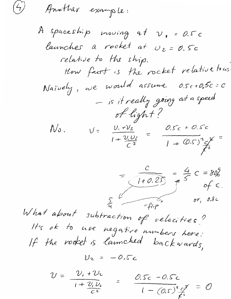Another example:

 $\begin{pmatrix} 1 \ 7 \end{pmatrix}$ 

A spaceship moving at  $\nu_{1}$  = 0.5 c launches a rocket at  $v_2 = 0.5c$ relative to the ship. How fact is the rocket relative to us Naively, we would assume O.Sc+O.5c=C - is it really going at a speed of light?  $U = \frac{v_1 + v_2}{1 + \frac{v_1 v_2}{c^2}} = \frac{0.5c + 0.5c}{1 + (0.5)^2 c^2}$  $N_o$ .  $rac{c}{\sqrt{1+0.25}} = \frac{4}{5}c = 80\%$ <br>of c. What about subtraction of velocities? It's ok to use negative numbers here:<br>If the rocket is launched backwards,  $U_2 = -0.5c$  $U = \frac{\nu_i + \nu_i}{1 + \frac{\nu_i \nu_i}{c^2}}$ =  $0.5c - 0.5c$ <br> $1 - (0.5)^{2} c f = 0$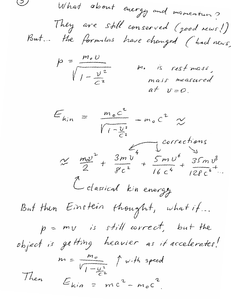$\bigcirc$ What about evergy and momentum? They are still conserved (good news!)<br>But... the formulas have changed (bad news)

$$
p = \frac{m_0 U}{\sqrt{1 - \frac{v^2}{c^2}}}
$$
 m. is rest mass,  
mass measured at v=0.

$$
E_{kin} = \frac{m_0 c^2}{\sqrt{1 - \frac{v^2}{c^2}}} - m_0 c^2 \approx
$$
  
\n
$$
\approx \frac{m_0 v^2}{2} + \frac{3m v^4}{8c^2} + \frac{5m v^6}{16c^4} + \frac{35m v^8}{128c^6} + ...
$$
  
\n
$$
\frac{m_0 v^2}{2} + \frac{3m v^4}{8c^2} + \frac{5m v^6}{16c^4} + \frac{35m v^8}{128c^6} + ...
$$
  
\n
$$
B_{\text{int}} + B_{\text{min}} + B_{\text{inter}} + B_{\text{inter}} + ...
$$
  
\n
$$
p = m v \text{ is still correct, but the}
$$
  
\n
$$
m = \frac{m_0}{\sqrt{1 - \frac{v^2}{c^2}}} + \frac{v_0}{m_0 c^2} + \frac{c}{m_0 c^2}
$$

 $\overline{1}$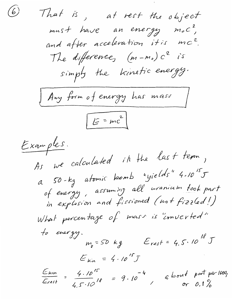$\bigcirc$ That is, at rest the object must have an energy mol? and after acceleration it is mc2. The difference,  $(m-m<sub>o</sub>) c<sup>2</sup>$  is simply the kinetic energy. Any form of energy has mass  $E = mc^2$ Examples. As we calculated it the last term, a 50-kg atomic komb "yields" 4.105 of energy, assuming all uranium took part in explosion and fissioned (not fizzled!) What percentage of mass is "inverted" to energy.  $m_{\rho}$  = 50 kg Erest = 4.5.10<sup>18</sup> J  $E_{kin} = 4.10^{15}J$  $\frac{E_{kin}}{E_{rest}} = \frac{4.10^{15}}{4.5 \cdot 10^{18}} = 9.10^{-4}$  a bont part per 1000;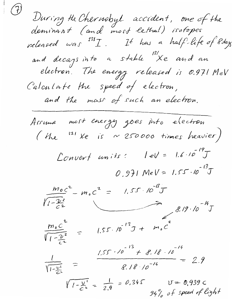$\left( \overline{f}\right)$ During the Chernobyl accident, one of the<br>dominant (and most lethal) isotopes released was  $^{131}I$ . It has a half-life of Pdays and decays into a stable "Xe and an<br>electron. The energy released is 0.971 MeV Calculate the speed of electron, and the mass of such an electron. Assume most energy goes into electron (the <sup>131</sup> Xe is ~ 250000 times heavier) Convert units:  $lev = 1.6 \cdot 10^{-19}J$  $0.971$  MeV = 1.55.10<sup>-13</sup>J  $\frac{m_0 c^2}{\sqrt{1-\frac{2c^2}{c^2}}} - m_0 c^2 = 1.55 \cdot 10^{-18} J$ <br>  $\frac{m_0 c^2}{\sqrt{1-\frac{2c^2}{c^2}}} = 1.55 \cdot 10^{-13} J + m_0 c^2$  $\frac{1}{\sqrt{1-\frac{v^2}{c^2}}}$  =  $\frac{1.55 \cdot 10^{-13} + 8.18 \cdot 10^{-14}}{8.18 \cdot 10^{-14}}$  = 2.9  $\sqrt{1-\frac{v^2}{c^2}} = \frac{1}{2.9} = 0.345$   $U = 0.939$  C<br>94% of speed of light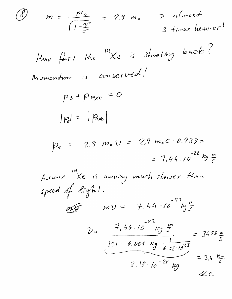| $m = \frac{m_o}{\sqrt{1-\frac{v^2}{c^2}}}$ = 2.9 m <sub>0</sub> $\Rightarrow$ almost<br>3 times heavier!<br>$\mathscr{B}$                 |
|-------------------------------------------------------------------------------------------------------------------------------------------|
| How fast the "Xe is shooting back"                                                                                                        |
| Momentum is conserved!                                                                                                                    |
| $pe + p_{\mu\nu\chi e} = 0$                                                                                                               |
| $ p_e  =  p_{\text{max}} $                                                                                                                |
| $\varphi_e$ = 2.9. $m_e v$ = 2.9 $m_e c \cdot 0.939$ =<br>= 7,44.10 <sup>-22</sup> kg $\frac{m}{s}$                                       |
| Assume Xe is moving much slower than<br>speed of light.                                                                                   |
| $mv = 7.44 \cdot 10^{-27} kg \frac{m}{c}$                                                                                                 |
| $7.44.10^{22} kg \frac{m}{s}$<br>$v_z$<br>$= 3420 m$<br>$131 \cdot 0.001 \cdot kg$ $\frac{1}{6.02 \cdot 10^{23}}$<br>$= 3.4 \frac{km}{s}$ |
| $2.18.10^{-25} kg$<br>222                                                                                                                 |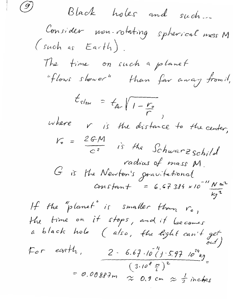Black holes and such. Consider mon-rotating spherical mass M  $(suchas Earth).$ The time on such a planet "flows shower" than far away fromit,  $t_{slow} = t_{far} / 1 - \frac{r_o}{r}$ where r is the distance to the center,  $V_0 = \frac{2GM}{c^2}$  is the Schwarz schild radias of mass M G is the Newton's gravitational<br>Constant = 6.67384 x10<sup>-11</sup> Nm<sup>2</sup> If the "planet" is smaller tham ro, It ine  $r$ .<br>The time on it stops, and it becomes<br>a black hole (also, the light can't get<br>" For earth,  $2 - 6.67.10^{21} (y \cdot 5.97) \cdot 10^{24} kg$ <br>= m nanon  $(3.10^{8} F)^{2}$ = 0.00887m  $\approx$  0.9 cm  $\approx \frac{1}{3}$  inches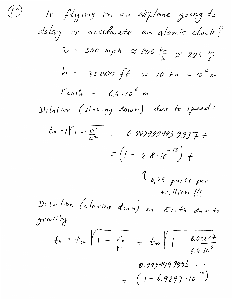(0) Is flying on an airplane going to  
\ndelay or accelerate an atomic clock?  
\n
$$
U = 500 mph \approx 600 km
$$
  
\n $U = 500 mph \approx 600 km$   
\n $h = 35000 ft \approx 10 km = 10^{4} m$   
\n $Tearth = 6.4 \cdot 10^{6} m$   
\nPilation (slowing down) due to speed:  
\n $t_{0.28 parts per}$   
\n $= (1 - 2.8 \cdot 10^{-13}) t$   
\n $t_{0.28 parts per}$   
\n $trillion III$   
\n $h = t_{00} \sqrt{1 - \frac{V_{0}}{r}} = t_{\infty} \sqrt{1 - \frac{0.00887}{6.4 \cdot 10^{6}}}$   
\n $= \sqrt{1 - \frac{V_{0}}{r}} = t_{\infty} \sqrt{1 - \frac{0.00887}{6.4 \cdot 10^{6}}}$   
\n $= \sqrt{1 - \frac{V_{0}}{r}} = (1 - 6.9297 \cdot 10^{-10})$